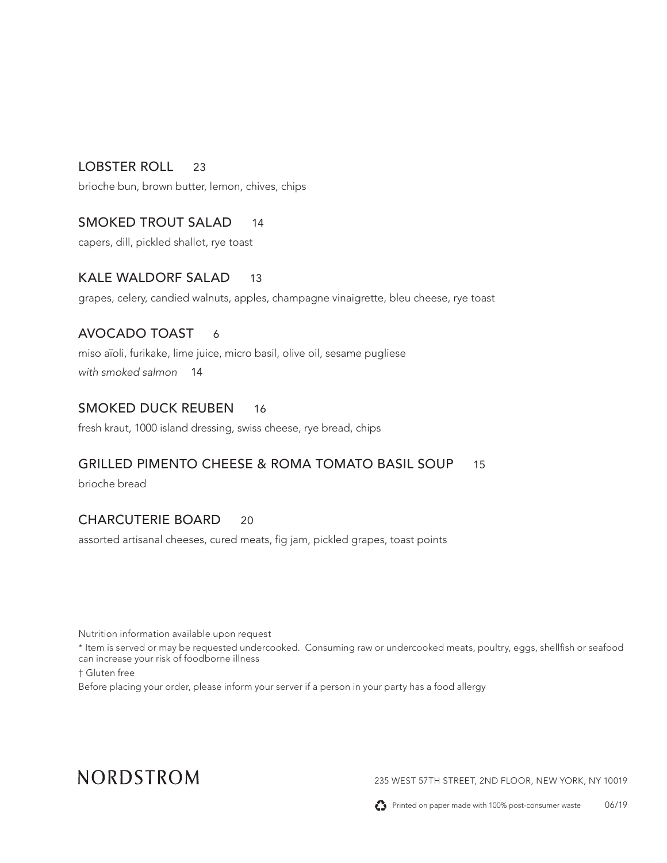# LOBSTER ROLL 23

brioche bun, brown butter, lemon, chives, chips

# SMOKED TROUT SALAD 14

capers, dill, pickled shallot, rye toast

## KALE WALDORF SALAD 13

grapes, celery, candied walnuts, apples, champagne vinaigrette, bleu cheese, rye toast

## AVOCADO TOAST 6

miso aïoli, furikake, lime juice, micro basil, olive oil, sesame pugliese *with smoked salmon* 14

## SMOKED DUCK REUBEN 16

fresh kraut, 1000 island dressing, swiss cheese, rye bread, chips

## GRILLED PIMENTO CHEESE & ROMA TOMATO BASIL SOUP 15

brioche bread

## CHARCUTERIE BOARD 20

assorted artisanal cheeses, cured meats, fig jam, pickled grapes, toast points

Nutrition information available upon request

\* Item is served or may be requested undercooked. Consuming raw or undercooked meats, poultry, eggs, shellfish or seafood can increase your risk of foodborne illness

† Gluten free

Before placing your order, please inform your server if a person in your party has a food allergy

# NORDSTROM

235 WEST 57TH STREET, 2ND FLOOR, NEW YORK, NY 10019